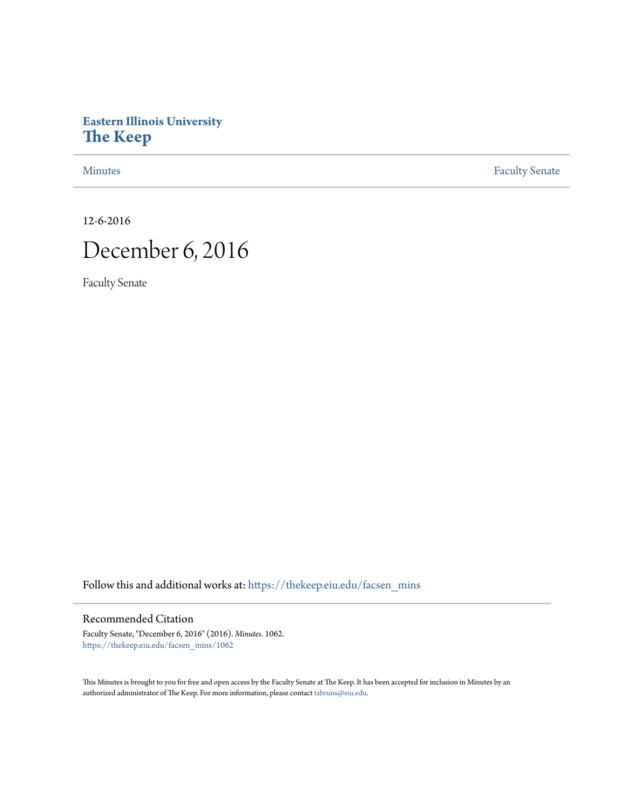## **Eastern Illinois University [The Keep](https://thekeep.eiu.edu?utm_source=thekeep.eiu.edu%2Ffacsen_mins%2F1062&utm_medium=PDF&utm_campaign=PDFCoverPages)**

[Minutes](https://thekeep.eiu.edu/facsen_mins?utm_source=thekeep.eiu.edu%2Ffacsen_mins%2F1062&utm_medium=PDF&utm_campaign=PDFCoverPages) **[Faculty Senate](https://thekeep.eiu.edu/fac_senate?utm_source=thekeep.eiu.edu%2Ffacsen_mins%2F1062&utm_medium=PDF&utm_campaign=PDFCoverPages)** 

12-6-2016

# December 6, 2016

Faculty Senate

Follow this and additional works at: [https://thekeep.eiu.edu/facsen\\_mins](https://thekeep.eiu.edu/facsen_mins?utm_source=thekeep.eiu.edu%2Ffacsen_mins%2F1062&utm_medium=PDF&utm_campaign=PDFCoverPages)

#### Recommended Citation

Faculty Senate, "December 6, 2016" (2016). *Minutes*. 1062. [https://thekeep.eiu.edu/facsen\\_mins/1062](https://thekeep.eiu.edu/facsen_mins/1062?utm_source=thekeep.eiu.edu%2Ffacsen_mins%2F1062&utm_medium=PDF&utm_campaign=PDFCoverPages)

This Minutes is brought to you for free and open access by the Faculty Senate at The Keep. It has been accepted for inclusion in Minutes by an authorized administrator of The Keep. For more information, please contact [tabruns@eiu.edu](mailto:tabruns@eiu.edu).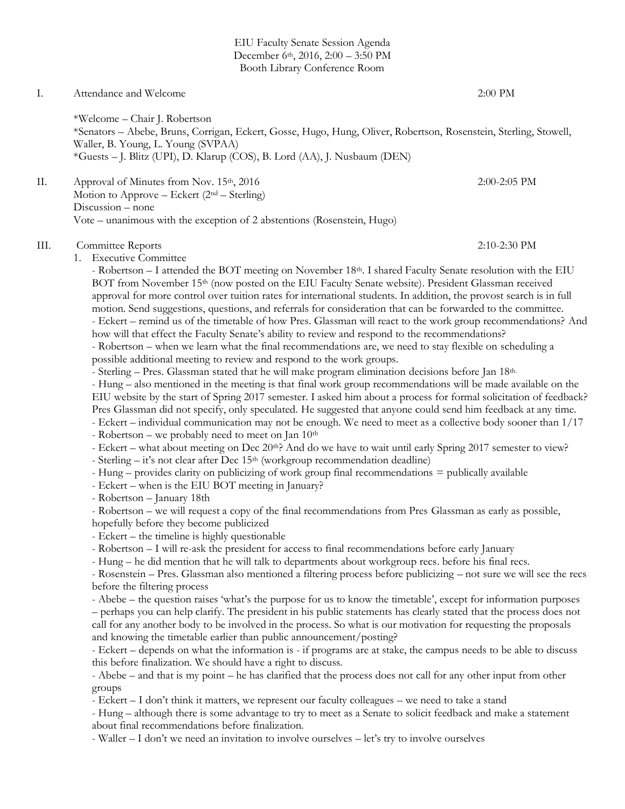EIU Faculty Senate Session Agenda December 6th, 2016, 2:00 – 3:50 PM Booth Library Conference Room

### I. Attendance and Welcome 2:00 PM \*Welcome – Chair J. Robertson \*Senators – Abebe, Bruns, Corrigan, Eckert, Gosse, Hugo, Hung, Oliver, Robertson, Rosenstein, Sterling, Stowell, Waller, B. Young, L. Young (SVPAA) \*Guests – J. Blitz (UPI), D. Klarup (COS), B. Lord (AA), J. Nusbaum (DEN) II. Approval of Minutes from Nov.  $15<sup>th</sup>$ , 2016 2:00-2:05 PM Motion to Approve – Eckert  $(2<sup>nd</sup> – Sterling)$ Discussion – none Vote – unanimous with the exception of 2 abstentions (Rosenstein, Hugo) III. Committee Reports 2:10-2:30 PM 1. Executive Committee - Robertson – I attended the BOT meeting on November 18th. I shared Faculty Senate resolution with the EIU BOT from November 15<sup>th</sup> (now posted on the EIU Faculty Senate website). President Glassman received approval for more control over tuition rates for international students. In addition, the provost search is in full motion. Send suggestions, questions, and referrals for consideration that can be forwarded to the committee. - Eckert – remind us of the timetable of how Pres. Glassman will react to the work group recommendations? And how will that effect the Faculty Senate's ability to review and respond to the recommendations? - Robertson – when we learn what the final recommendations are, we need to stay flexible on scheduling a possible additional meeting to review and respond to the work groups. - Sterling – Pres. Glassman stated that he will make program elimination decisions before Jan 18th. - Hung – also mentioned in the meeting is that final work group recommendations will be made available on the EIU website by the start of Spring 2017 semester. I asked him about a process for formal solicitation of feedback? Pres Glassman did not specify, only speculated. He suggested that anyone could send him feedback at any time. - Eckert – individual communication may not be enough. We need to meet as a collective body sooner than 1/17 - Robertson – we probably need to meet on Jan  $10<sup>th</sup>$ - Eckert – what about meeting on Dec 20<sup>th</sup>? And do we have to wait until early Spring 2017 semester to view? - Sterling  $-$  it's not clear after Dec 15<sup>th</sup> (workgroup recommendation deadline) - Hung – provides clarity on publicizing of work group final recommendations = publically available - Eckert – when is the EIU BOT meeting in January? - Robertson – January 18th - Robertson – we will request a copy of the final recommendations from Pres Glassman as early as possible, hopefully before they become publicized - Eckert – the timeline is highly questionable - Robertson – I will re-ask the president for access to final recommendations before early January - Hung – he did mention that he will talk to departments about workgroup recs. before his final recs. - Rosenstein – Pres. Glassman also mentioned a filtering process before publicizing – not sure we will see the recs before the filtering process - Abebe – the question raises 'what's the purpose for us to know the timetable', except for information purposes – perhaps you can help clarify. The president in his public statements has clearly stated that the process does not call for any another body to be involved in the process. So what is our motivation for requesting the proposals and knowing the timetable earlier than public announcement/posting? - Eckert – depends on what the information is - if programs are at stake, the campus needs to be able to discuss this before finalization. We should have a right to discuss. - Abebe – and that is my point – he has clarified that the process does not call for any other input from other groups - Eckert – I don't think it matters, we represent our faculty colleagues – we need to take a stand - Hung – although there is some advantage to try to meet as a Senate to solicit feedback and make a statement about final recommendations before finalization.

- Waller – I don't we need an invitation to involve ourselves – let's try to involve ourselves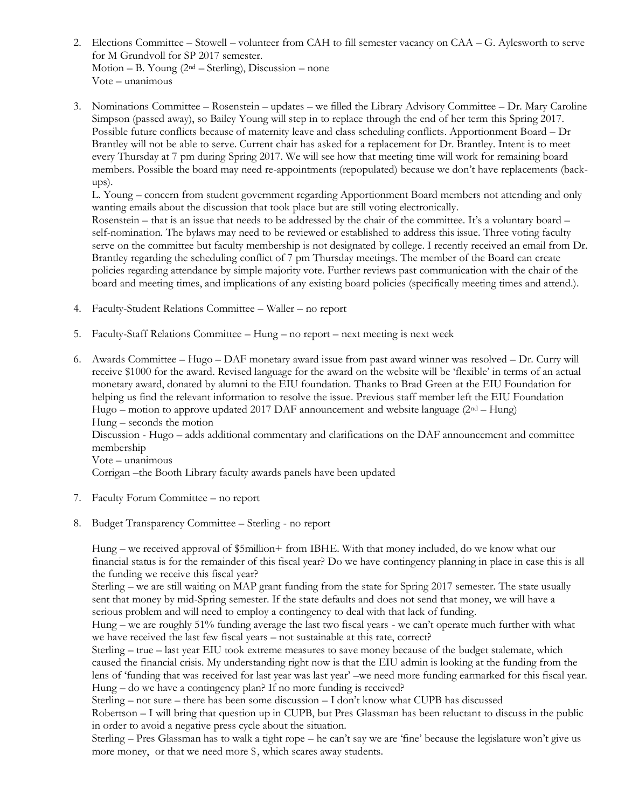- 2. Elections Committee Stowell volunteer from CAH to fill semester vacancy on CAA G. Aylesworth to serve for M Grundvoll for SP 2017 semester. Motion – B. Young (2nd – Sterling), Discussion – none Vote – unanimous
- 3. Nominations Committee Rosenstein updates we filled the Library Advisory Committee Dr. Mary Caroline Simpson (passed away), so Bailey Young will step in to replace through the end of her term this Spring 2017. Possible future conflicts because of maternity leave and class scheduling conflicts. Apportionment Board – Dr Brantley will not be able to serve. Current chair has asked for a replacement for Dr. Brantley. Intent is to meet every Thursday at 7 pm during Spring 2017. We will see how that meeting time will work for remaining board members. Possible the board may need re-appointments (repopulated) because we don't have replacements (backups).

L. Young – concern from student government regarding Apportionment Board members not attending and only wanting emails about the discussion that took place but are still voting electronically.

Rosenstein – that is an issue that needs to be addressed by the chair of the committee. It's a voluntary board – self-nomination. The bylaws may need to be reviewed or established to address this issue. Three voting faculty serve on the committee but faculty membership is not designated by college. I recently received an email from Dr. Brantley regarding the scheduling conflict of 7 pm Thursday meetings. The member of the Board can create policies regarding attendance by simple majority vote. Further reviews past communication with the chair of the board and meeting times, and implications of any existing board policies (specifically meeting times and attend.).

- 4. Faculty-Student Relations Committee Waller no report
- 5. Faculty-Staff Relations Committee Hung no report next meeting is next week
- 6. Awards Committee Hugo DAF monetary award issue from past award winner was resolved Dr. Curry will receive \$1000 for the award. Revised language for the award on the website will be 'flexible' in terms of an actual monetary award, donated by alumni to the EIU foundation. Thanks to Brad Green at the EIU Foundation for helping us find the relevant information to resolve the issue. Previous staff member left the EIU Foundation Hugo – motion to approve updated 2017 DAF announcement and website language  $(2^{nd} - Hung)$ Hung – seconds the motion Discussion - Hugo – adds additional commentary and clarifications on the DAF announcement and committee membership Vote – unanimous Corrigan –the Booth Library faculty awards panels have been updated
- 7. Faculty Forum Committee no report
- 8. Budget Transparency Committee Sterling no report

Hung – we received approval of \$5million+ from IBHE. With that money included, do we know what our financial status is for the remainder of this fiscal year? Do we have contingency planning in place in case this is all the funding we receive this fiscal year?

Sterling – we are still waiting on MAP grant funding from the state for Spring 2017 semester. The state usually sent that money by mid-Spring semester. If the state defaults and does not send that money, we will have a serious problem and will need to employ a contingency to deal with that lack of funding.

Hung – we are roughly 51% funding average the last two fiscal years - we can't operate much further with what we have received the last few fiscal years – not sustainable at this rate, correct?

Sterling – true – last year EIU took extreme measures to save money because of the budget stalemate, which caused the financial crisis. My understanding right now is that the EIU admin is looking at the funding from the lens of 'funding that was received for last year was last year' –we need more funding earmarked for this fiscal year. Hung – do we have a contingency plan? If no more funding is received?

Sterling – not sure – there has been some discussion – I don't know what CUPB has discussed

Robertson – I will bring that question up in CUPB, but Pres Glassman has been reluctant to discuss in the public in order to avoid a negative press cycle about the situation.

Sterling – Pres Glassman has to walk a tight rope – he can't say we are 'fine' because the legislature won't give us more money, or that we need more \$, which scares away students.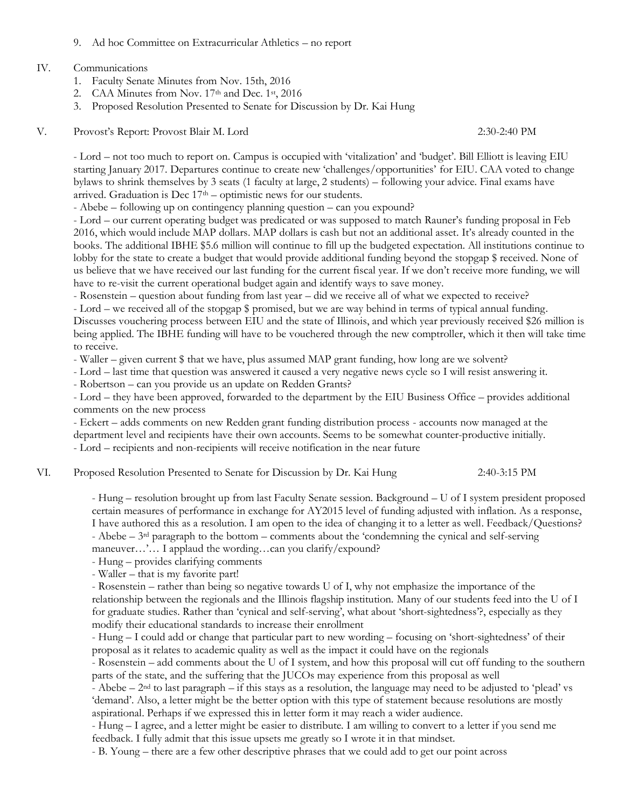9. Ad hoc Committee on Extracurricular Athletics – no report

#### IV. Communications

- 1. Faculty Senate Minutes from Nov. 15th, 2016
- 2. CAA Minutes from Nov.  $17<sup>th</sup>$  and Dec.  $1<sup>st</sup>$ ,  $2016$
- 3. Proposed Resolution Presented to Senate for Discussion by Dr. Kai Hung
- V. Provost's Report: Provost Blair M. Lord 2:30-2:40 PM

- Lord – not too much to report on. Campus is occupied with 'vitalization' and 'budget'. Bill Elliott is leaving EIU starting January 2017. Departures continue to create new 'challenges/opportunities' for EIU. CAA voted to change bylaws to shrink themselves by 3 seats (1 faculty at large, 2 students) – following your advice. Final exams have arrived. Graduation is Dec  $17<sup>th</sup>$  – optimistic news for our students.

- Abebe – following up on contingency planning question – can you expound?

- Lord – our current operating budget was predicated or was supposed to match Rauner's funding proposal in Feb 2016, which would include MAP dollars. MAP dollars is cash but not an additional asset. It's already counted in the books. The additional IBHE \$5.6 million will continue to fill up the budgeted expectation. All institutions continue to lobby for the state to create a budget that would provide additional funding beyond the stopgap \$ received. None of us believe that we have received our last funding for the current fiscal year. If we don't receive more funding, we will have to re-visit the current operational budget again and identify ways to save money.

- Rosenstein – question about funding from last year – did we receive all of what we expected to receive?

- Lord – we received all of the stopgap \$ promised, but we are way behind in terms of typical annual funding.

Discusses vouchering process between EIU and the state of Illinois, and which year previously received \$26 million is being applied. The IBHE funding will have to be vouchered through the new comptroller, which it then will take time to receive.

- Waller – given current \$ that we have, plus assumed MAP grant funding, how long are we solvent?

- Lord – last time that question was answered it caused a very negative news cycle so I will resist answering it.

- Robertson – can you provide us an update on Redden Grants?

- Lord – they have been approved, forwarded to the department by the EIU Business Office – provides additional comments on the new process

- Eckert – adds comments on new Redden grant funding distribution process - accounts now managed at the department level and recipients have their own accounts. Seems to be somewhat counter-productive initially. - Lord – recipients and non-recipients will receive notification in the near future

VI. Proposed Resolution Presented to Senate for Discussion by Dr. Kai Hung 2:40-3:15 PM

- Hung – resolution brought up from last Faculty Senate session. Background – U of I system president proposed certain measures of performance in exchange for AY2015 level of funding adjusted with inflation. As a response, I have authored this as a resolution. I am open to the idea of changing it to a letter as well. Feedback/Questions? - Abebe – 3rd paragraph to the bottom – comments about the 'condemning the cynical and self-serving maneuver...'... I applaud the wording...can you clarify/expound?

- Hung – provides clarifying comments

- Waller – that is my favorite part!

- Rosenstein – rather than being so negative towards U of I, why not emphasize the importance of the relationship between the regionals and the Illinois flagship institution. Many of our students feed into the U of I for graduate studies. Rather than 'cynical and self-serving', what about 'short-sightedness'?, especially as they modify their educational standards to increase their enrollment

- Hung – I could add or change that particular part to new wording – focusing on 'short-sightedness' of their proposal as it relates to academic quality as well as the impact it could have on the regionals

- Rosenstein – add comments about the U of I system, and how this proposal will cut off funding to the southern parts of the state, and the suffering that the JUCOs may experience from this proposal as well

- Abebe –  $2<sup>nd</sup>$  to last paragraph – if this stays as a resolution, the language may need to be adjusted to 'plead' vs 'demand'. Also, a letter might be the better option with this type of statement because resolutions are mostly aspirational. Perhaps if we expressed this in letter form it may reach a wider audience.

- Hung – I agree, and a letter might be easier to distribute. I am willing to convert to a letter if you send me feedback. I fully admit that this issue upsets me greatly so I wrote it in that mindset.

- B. Young – there are a few other descriptive phrases that we could add to get our point across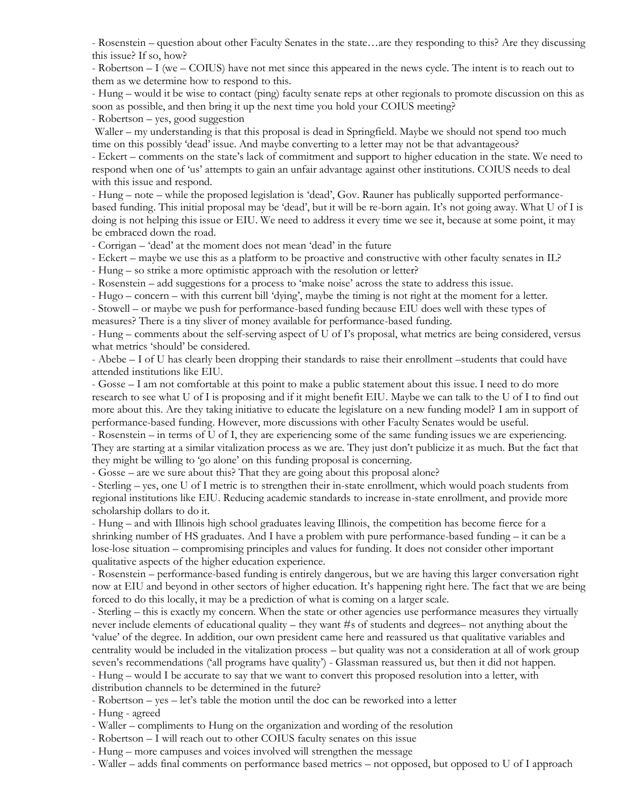- Rosenstein – question about other Faculty Senates in the state…are they responding to this? Are they discussing this issue? If so, how?

- Robertson – I (we – COIUS) have not met since this appeared in the news cycle. The intent is to reach out to them as we determine how to respond to this.

- Hung – would it be wise to contact (ping) faculty senate reps at other regionals to promote discussion on this as soon as possible, and then bring it up the next time you hold your COIUS meeting?

- Robertson – yes, good suggestion

Waller – my understanding is that this proposal is dead in Springfield. Maybe we should not spend too much time on this possibly 'dead' issue. And maybe converting to a letter may not be that advantageous?

- Eckert – comments on the state's lack of commitment and support to higher education in the state. We need to respond when one of 'us' attempts to gain an unfair advantage against other institutions. COIUS needs to deal with this issue and respond.

- Hung – note – while the proposed legislation is 'dead', Gov. Rauner has publically supported performancebased funding. This initial proposal may be 'dead', but it will be re-born again. It's not going away. What U of I is doing is not helping this issue or EIU. We need to address it every time we see it, because at some point, it may be embraced down the road.

- Corrigan – 'dead' at the moment does not mean 'dead' in the future

- Eckert – maybe we use this as a platform to be proactive and constructive with other faculty senates in IL?

- Hung – so strike a more optimistic approach with the resolution or letter?

- Rosenstein – add suggestions for a process to 'make noise' across the state to address this issue.

- Hugo – concern – with this current bill 'dying', maybe the timing is not right at the moment for a letter.

- Stowell – or maybe we push for performance-based funding because EIU does well with these types of measures? There is a tiny sliver of money available for performance-based funding.

- Hung – comments about the self-serving aspect of U of I's proposal, what metrics are being considered, versus what metrics 'should' be considered.

- Abebe – I of U has clearly been dropping their standards to raise their enrollment –students that could have attended institutions like EIU.

- Gosse – I am not comfortable at this point to make a public statement about this issue. I need to do more research to see what U of I is proposing and if it might benefit EIU. Maybe we can talk to the U of I to find out more about this. Are they taking initiative to educate the legislature on a new funding model? I am in support of performance-based funding. However, more discussions with other Faculty Senates would be useful.

- Rosenstein – in terms of U of I, they are experiencing some of the same funding issues we are experiencing. They are starting at a similar vitalization process as we are. They just don't publicize it as much. But the fact that they might be willing to 'go alone' on this funding proposal is concerning.

- Gosse – are we sure about this? That they are going about this proposal alone?

- Sterling – yes, one U of I metric is to strengthen their in-state enrollment, which would poach students from regional institutions like EIU. Reducing academic standards to increase in-state enrollment, and provide more scholarship dollars to do it.

- Hung – and with Illinois high school graduates leaving Illinois, the competition has become fierce for a shrinking number of HS graduates. And I have a problem with pure performance-based funding – it can be a lose-lose situation – compromising principles and values for funding. It does not consider other important qualitative aspects of the higher education experience.

- Rosenstein – performance-based funding is entirely dangerous, but we are having this larger conversation right now at EIU and beyond in other sectors of higher education. It's happening right here. The fact that we are being forced to do this locally, it may be a prediction of what is coming on a larger scale.

- Sterling – this is exactly my concern. When the state or other agencies use performance measures they virtually never include elements of educational quality – they want #s of students and degrees– not anything about the 'value' of the degree. In addition, our own president came here and reassured us that qualitative variables and centrality would be included in the vitalization process – but quality was not a consideration at all of work group seven's recommendations ('all programs have quality') - Glassman reassured us, but then it did not happen. - Hung – would I be accurate to say that we want to convert this proposed resolution into a letter, with distribution channels to be determined in the future?

- Robertson – yes – let's table the motion until the doc can be reworked into a letter

- Hung - agreed

- Waller – compliments to Hung on the organization and wording of the resolution

- Robertson – I will reach out to other COIUS faculty senates on this issue

- Hung – more campuses and voices involved will strengthen the message

- Waller – adds final comments on performance based metrics – not opposed, but opposed to U of I approach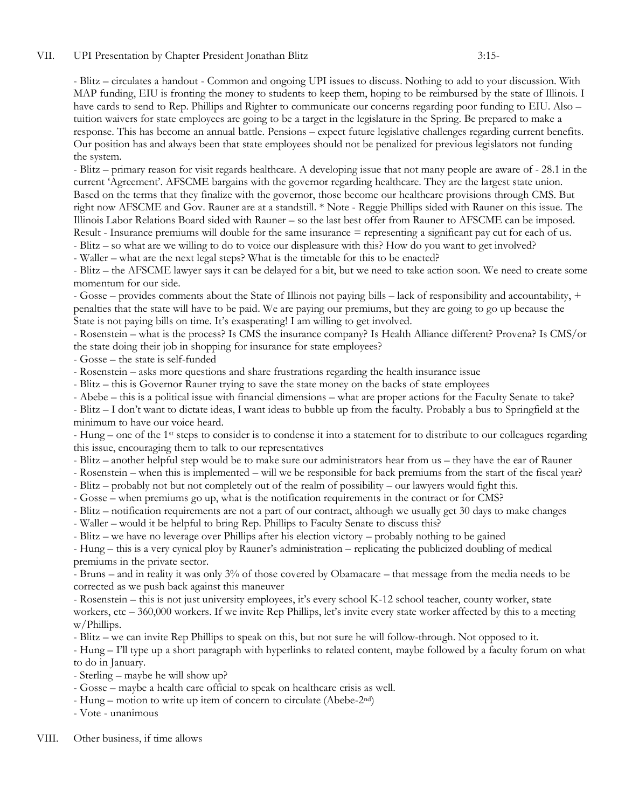- Blitz – circulates a handout - Common and ongoing UPI issues to discuss. Nothing to add to your discussion. With MAP funding, EIU is fronting the money to students to keep them, hoping to be reimbursed by the state of Illinois. I have cards to send to Rep. Phillips and Righter to communicate our concerns regarding poor funding to EIU. Also – tuition waivers for state employees are going to be a target in the legislature in the Spring. Be prepared to make a response. This has become an annual battle. Pensions – expect future legislative challenges regarding current benefits. Our position has and always been that state employees should not be penalized for previous legislators not funding the system.

- Blitz – primary reason for visit regards healthcare. A developing issue that not many people are aware of - 28.1 in the current 'Agreement'. AFSCME bargains with the governor regarding healthcare. They are the largest state union. Based on the terms that they finalize with the governor, those become our healthcare provisions through CMS. But right now AFSCME and Gov. Rauner are at a standstill. \* Note - Reggie Phillips sided with Rauner on this issue. The Illinois Labor Relations Board sided with Rauner – so the last best offer from Rauner to AFSCME can be imposed. Result - Insurance premiums will double for the same insurance = representing a significant pay cut for each of us.

- Blitz – so what are we willing to do to voice our displeasure with this? How do you want to get involved?

- Waller – what are the next legal steps? What is the timetable for this to be enacted?

- Blitz – the AFSCME lawyer says it can be delayed for a bit, but we need to take action soon. We need to create some momentum for our side.

- Gosse – provides comments about the State of Illinois not paying bills – lack of responsibility and accountability, + penalties that the state will have to be paid. We are paying our premiums, but they are going to go up because the State is not paying bills on time. It's exasperating! I am willing to get involved.

- Rosenstein – what is the process? Is CMS the insurance company? Is Health Alliance different? Provena? Is CMS/or the state doing their job in shopping for insurance for state employees?

- Gosse – the state is self-funded

- Rosenstein – asks more questions and share frustrations regarding the health insurance issue

- Blitz this is Governor Rauner trying to save the state money on the backs of state employees
- Abebe this is a political issue with financial dimensions what are proper actions for the Faculty Senate to take?

- Blitz – I don't want to dictate ideas, I want ideas to bubble up from the faculty. Probably a bus to Springfield at the minimum to have our voice heard.

- Hung – one of the 1st steps to consider is to condense it into a statement for to distribute to our colleagues regarding this issue, encouraging them to talk to our representatives

- Blitz – another helpful step would be to make sure our administrators hear from us – they have the ear of Rauner

- Rosenstein – when this is implemented – will we be responsible for back premiums from the start of the fiscal year?

- Blitz – probably not but not completely out of the realm of possibility – our lawyers would fight this.

- Gosse – when premiums go up, what is the notification requirements in the contract or for CMS?

- Blitz – notification requirements are not a part of our contract, although we usually get 30 days to make changes

- Waller – would it be helpful to bring Rep. Phillips to Faculty Senate to discuss this?

- Blitz – we have no leverage over Phillips after his election victory – probably nothing to be gained

- Hung – this is a very cynical ploy by Rauner's administration – replicating the publicized doubling of medical premiums in the private sector.

- Bruns – and in reality it was only 3% of those covered by Obamacare – that message from the media needs to be corrected as we push back against this maneuver

- Rosenstein – this is not just university employees, it's every school K-12 school teacher, county worker, state workers, etc – 360,000 workers. If we invite Rep Phillips, let's invite every state worker affected by this to a meeting w/Phillips.

- Blitz – we can invite Rep Phillips to speak on this, but not sure he will follow-through. Not opposed to it.

- Hung – I'll type up a short paragraph with hyperlinks to related content, maybe followed by a faculty forum on what to do in January.

- Sterling maybe he will show up?
- Gosse maybe a health care official to speak on healthcare crisis as well.
- Hung motion to write up item of concern to circulate (Abebe-2nd)
- Vote unanimous

#### VIII. Other business, if time allows